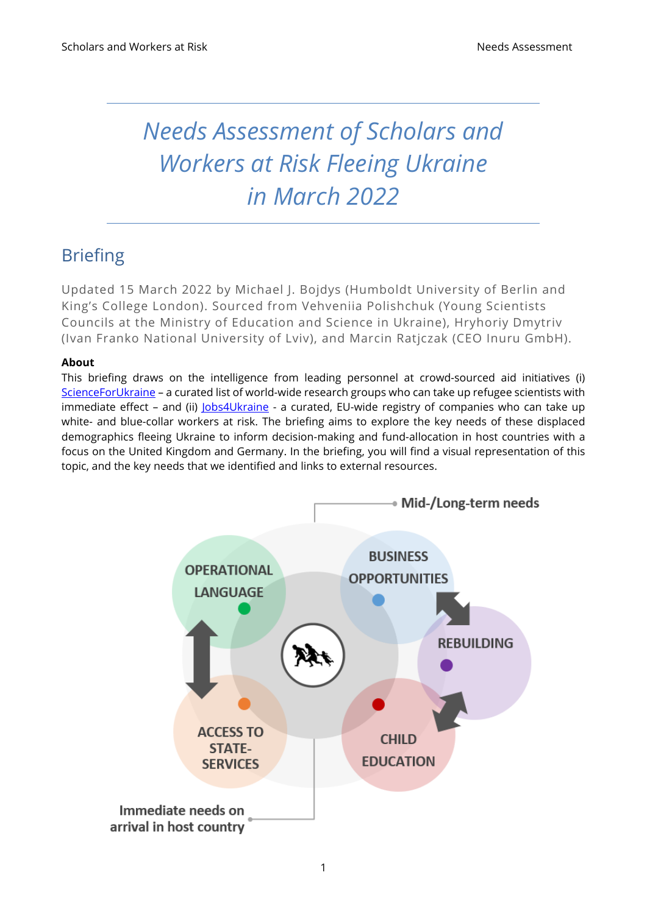# *Needs Assessment of Scholars and Workers at Risk Fleeing Ukraine in March 2022*

# Briefing

Updated 15 March 2022 by Michael J. Bojdys (Humboldt University of Berlin and King's College London). Sourced from Vehveniia Polishchuk (Young Scientists Councils at the Ministry of Education and Science in Ukraine), Hryhoriy Dmytriv (Ivan Franko National University of Lviv), and Marcin Ratjczak (CEO Inuru GmbH).

#### **About**

This briefing draws on the intelligence from leading personnel at crowd-sourced aid initiatives (i) [ScienceForUkraine](https://scienceforukraine.eu/) - a curated list of world-wide research groups who can take up refugee scientists with immediate effect - and (ii) *[Jobs4Ukraine](https://www.jobs4ukraine.eu/)* - a curated, EU-wide registry of companies who can take up white- and blue-collar workers at risk. The briefing aims to explore the key needs of these displaced demographics fleeing Ukraine to inform decision-making and fund-allocation in host countries with a focus on the United Kingdom and Germany. In the briefing, you will find a visual representation of this topic, and the key needs that we identified and links to external resources.

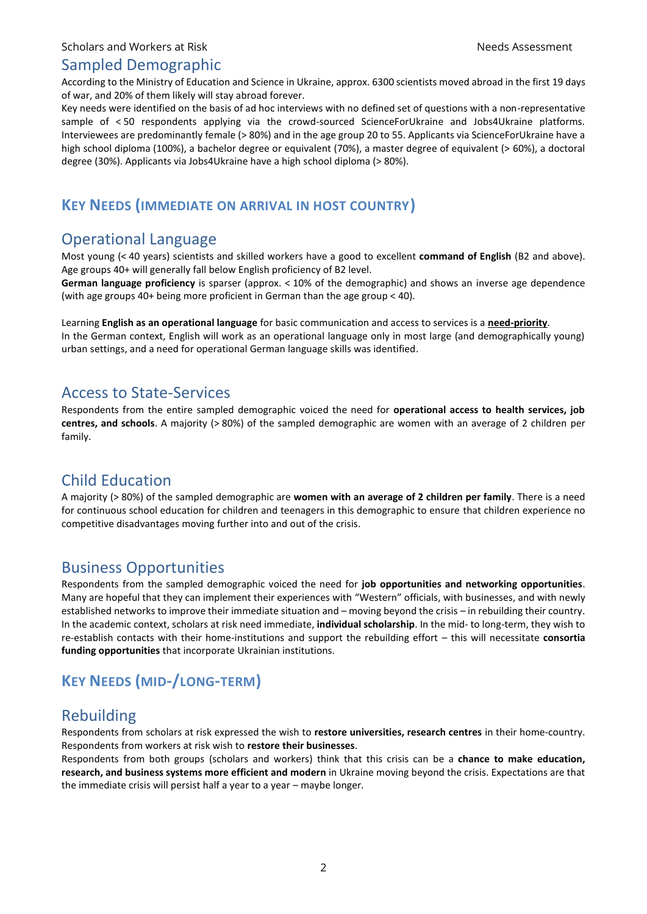#### Sampled Demographic

According to the Ministry of Education and Science in Ukraine, approx. 6300 scientists moved abroad in the first 19 days of war, and 20% of them likely will stay abroad forever.

Key needs were identified on the basis of ad hoc interviews with no defined set of questions with a non-representative sample of < 50 respondents applying via the crowd-sourced ScienceForUkraine and Jobs4Ukraine platforms. Interviewees are predominantly female (> 80%) and in the age group 20 to 55. Applicants via ScienceForUkraine have a high school diploma (100%), a bachelor degree or equivalent (70%), a master degree of equivalent (> 60%), a doctoral degree (30%). Applicants via Jobs4Ukraine have a high school diploma (> 80%).

# **KEY NEEDS (IMMEDIATE ON ARRIVAL IN HOST COUNTRY)**

# Operational Language

Most young (< 40 years) scientists and skilled workers have a good to excellent **command of English** (B2 and above). Age groups 40+ will generally fall below English proficiency of B2 level.

**German language proficiency** is sparser (approx. < 10% of the demographic) and shows an inverse age dependence (with age groups 40+ being more proficient in German than the age group < 40).

Learning **English as an operational language** for basic communication and access to services is a **need-priority**. In the German context, English will work as an operational language only in most large (and demographically young) urban settings, and a need for operational German language skills was identified.

#### Access to State-Services

Respondents from the entire sampled demographic voiced the need for **operational access to health services, job centres, and schools**. A majority (> 80%) of the sampled demographic are women with an average of 2 children per family.

# Child Education

A majority (> 80%) of the sampled demographic are **women with an average of 2 children per family**. There is a need for continuous school education for children and teenagers in this demographic to ensure that children experience no competitive disadvantages moving further into and out of the crisis.

#### Business Opportunities

Respondents from the sampled demographic voiced the need for **job opportunities and networking opportunities**. Many are hopeful that they can implement their experiences with "Western" officials, with businesses, and with newly established networks to improve their immediate situation and – moving beyond the crisis – in rebuilding their country. In the academic context, scholars at risk need immediate, **individual scholarship**. In the mid- to long-term, they wish to re-establish contacts with their home-institutions and support the rebuilding effort – this will necessitate **consortia funding opportunities** that incorporate Ukrainian institutions.

# **KEY NEEDS (MID-/LONG-TERM)**

# Rebuilding

Respondents from scholars at risk expressed the wish to **restore universities, research centres** in their home-country. Respondents from workers at risk wish to **restore their businesses**.

Respondents from both groups (scholars and workers) think that this crisis can be a **chance to make education, research, and business systems more efficient and modern** in Ukraine moving beyond the crisis. Expectations are that the immediate crisis will persist half a year to a year – maybe longer.